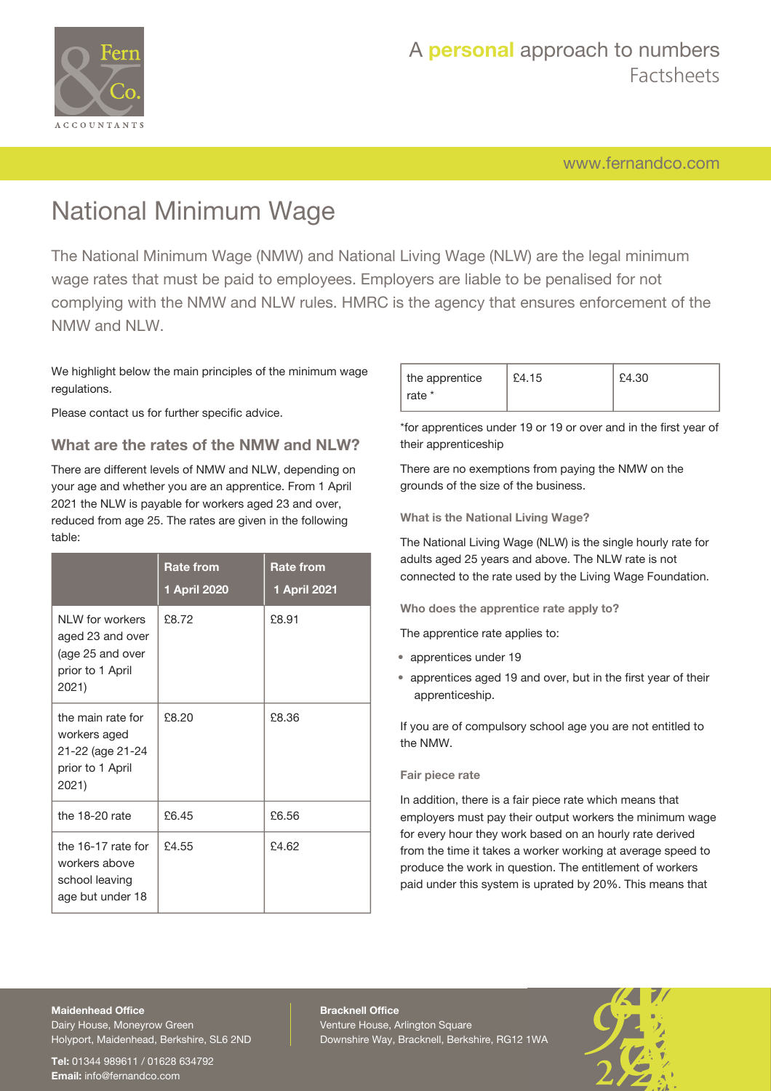

## A **personal** approach to numbers Factsheets

[www.fernandco.com](http://www.fernandco.com)

# National Minimum Wage

The National Minimum Wage (NMW) and National Living Wage (NLW) are the legal minimum wage rates that must be paid to employees. Employers are liable to be penalised for not complying with the NMW and NLW rules. HMRC is the agency that ensures enforcement of the NMW and NLW.

We highlight below the main principles of the minimum wage regulations.

Please contact us for further specific advice.

### **What are the rates of the NMW and NLW?**

There are different levels of NMW and NLW, depending on your age and whether you are an apprentice. From 1 April 2021 the NLW is payable for workers aged 23 and over, reduced from age 25. The rates are given in the following table:

|                                                                                       | <b>Rate from</b><br>1 April 2020 | <b>Rate from</b><br>1 April 2021 |
|---------------------------------------------------------------------------------------|----------------------------------|----------------------------------|
| NI W for workers<br>aged 23 and over<br>(age 25 and over<br>prior to 1 April<br>2021) | £8.72                            | £8.91                            |
| the main rate for<br>workers aged<br>21-22 (age 21-24<br>prior to 1 April<br>2021)    | £8.20                            | £8.36                            |
| the 18-20 rate                                                                        | £6.45                            | £6.56                            |
| the 16-17 rate for<br>workers above<br>school leaving<br>age but under 18             | £4.55                            | £4.62                            |

| the apprentice   | £4.15 | £4.30 |
|------------------|-------|-------|
| $\perp$ rate $*$ |       |       |

\*for apprentices under 19 or 19 or over and in the first year of their apprenticeship

There are no exemptions from paying the NMW on the grounds of the size of the business.

**What is the National Living Wage?**

The National Living Wage (NLW) is the single hourly rate for adults aged 25 years and above. The NLW rate is not connected to the rate used by the Living Wage Foundation.

**Who does the apprentice rate apply to?**

The apprentice rate applies to:

- apprentices under 19
- apprentices aged 19 and over, but in the first year of their apprenticeship.

If you are of compulsory school age you are not entitled to the NMW.

### **Fair piece rate**

In addition, there is a fair piece rate which means that employers must pay their output workers the minimum wage for every hour they work based on an hourly rate derived from the time it takes a worker working at average speed to produce the work in question. The entitlement of workers paid under this system is uprated by 20%. This means that

#### **Maidenhead Office**

Dairy House, Moneyrow Green Holyport, Maidenhead, Berkshire, SL6 2ND

**Tel:** 01344 989611 / 01628 634792 **Email:** [info@fernandco.com](mailto:info@fernandco.com)

**Bracknell Office** Venture House, Arlington Square Downshire Way, Bracknell, Berkshire, RG12 1WA

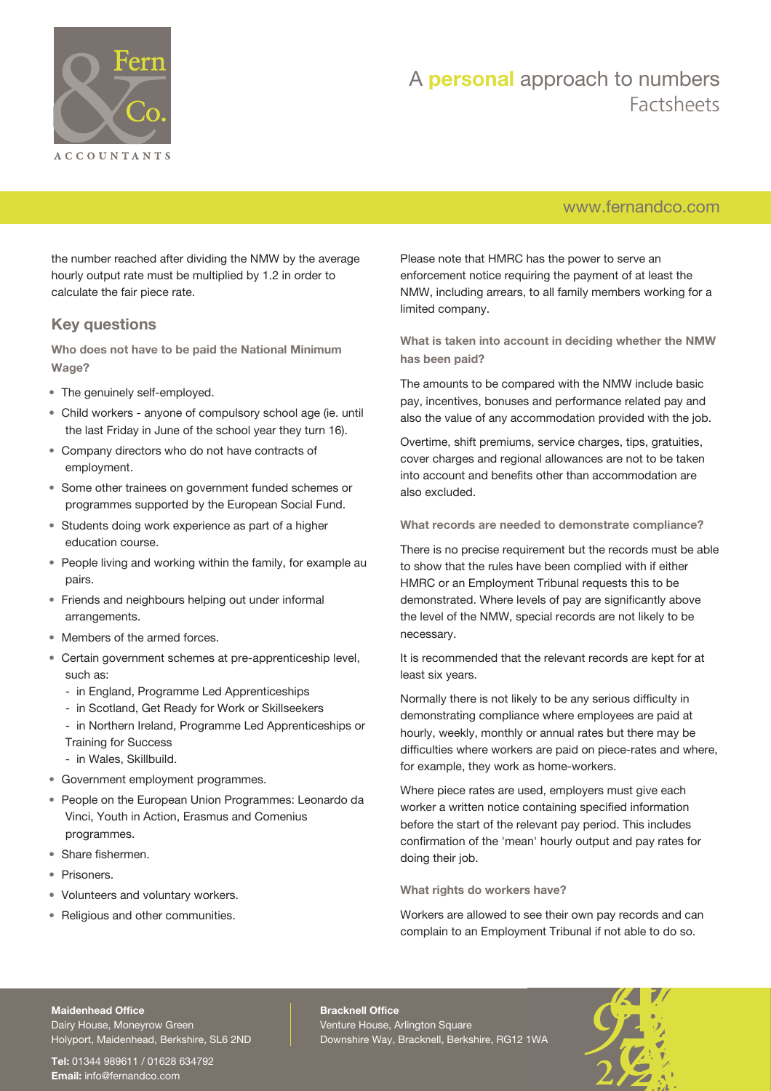

## A **personal** approach to numbers Factsheets

## [www.fernandco.com](http://www.fernandco.com)

the number reached after dividing the NMW by the average hourly output rate must be multiplied by 1.2 in order to calculate the fair piece rate.

## **Key questions**

**Who does not have to be paid the National Minimum Wage?**

- The genuinely self-employed.
- Child workers anyone of compulsory school age (ie. until the last Friday in June of the school year they turn 16).
- Company directors who do not have contracts of employment.
- Some other trainees on government funded schemes or programmes supported by the European Social Fund.
- Students doing work experience as part of a higher education course.
- People living and working within the family, for example au pairs.
- Friends and neighbours helping out under informal arrangements.
- Members of the armed forces.
- Certain government schemes at pre-apprenticeship level, such as:
	- in England, Programme Led Apprenticeships
	- in Scotland, Get Ready for Work or Skillseekers

- in Northern Ireland, Programme Led Apprenticeships or Training for Success

- in Wales, Skillbuild.
- Government employment programmes.
- People on the European Union Programmes: Leonardo da Vinci, Youth in Action, Erasmus and Comenius programmes.
- Share fishermen.
- Prisoners.
- Volunteers and voluntary workers.
- Religious and other communities.

Please note that HMRC has the power to serve an enforcement notice requiring the payment of at least the NMW, including arrears, to all family members working for a limited company.

**What is taken into account in deciding whether the NMW has been paid?**

The amounts to be compared with the NMW include basic pay, incentives, bonuses and performance related pay and also the value of any accommodation provided with the job.

Overtime, shift premiums, service charges, tips, gratuities, cover charges and regional allowances are not to be taken into account and benefits other than accommodation are also excluded.

#### **What records are needed to demonstrate compliance?**

There is no precise requirement but the records must be able to show that the rules have been complied with if either HMRC or an Employment Tribunal requests this to be demonstrated. Where levels of pay are significantly above the level of the NMW, special records are not likely to be necessary.

It is recommended that the relevant records are kept for at least six years.

Normally there is not likely to be any serious difficulty in demonstrating compliance where employees are paid at hourly, weekly, monthly or annual rates but there may be difficulties where workers are paid on piece-rates and where, for example, they work as home-workers.

Where piece rates are used, employers must give each worker a written notice containing specified information before the start of the relevant pay period. This includes confirmation of the 'mean' hourly output and pay rates for doing their job.

#### **What rights do workers have?**

Workers are allowed to see their own pay records and can complain to an Employment Tribunal if not able to do so.

#### **Maidenhead Office**

Dairy House, Moneyrow Green Holyport, Maidenhead, Berkshire, SL6 2ND

**Tel:** 01344 989611 / 01628 634792 **Email:** [info@fernandco.com](mailto:info@fernandco.com)

**Bracknell Office** Venture House, Arlington Square Downshire Way, Bracknell, Berkshire, RG12 1WA